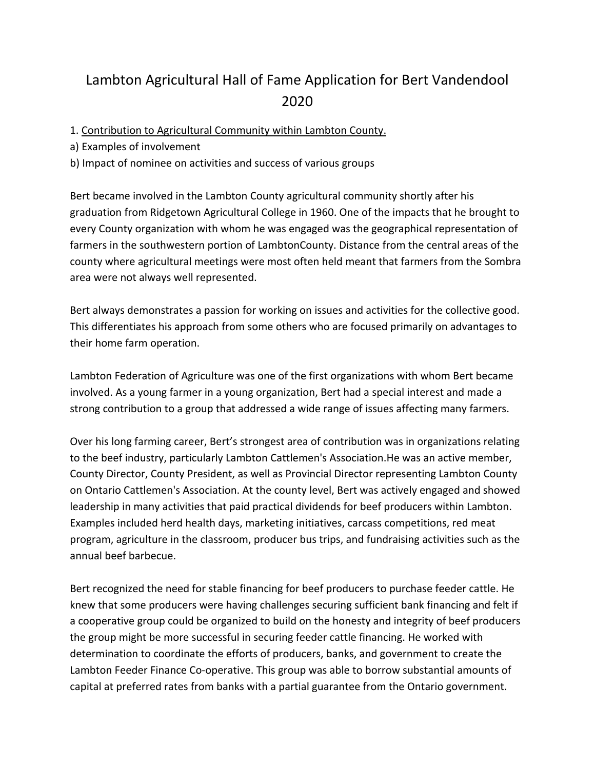# Lambton Agricultural Hall of Fame Application for Bert Vandendool 2020

1. Contribution to Agricultural Community within Lambton County.

a) Examples of involvement

b) Impact of nominee on activities and success of various groups

Bert became involved in the Lambton County agricultural community shortly after his graduation from Ridgetown Agricultural College in 1960. One of the impacts that he brought to every County organization with whom he was engaged was the geographical representation of farmers in the southwestern portion of LambtonCounty. Distance from the central areas of the county where agricultural meetings were most often held meant that farmers from the Sombra area were not always well represented.

Bert always demonstrates a passion for working on issues and activities for the collective good. This differentiates his approach from some others who are focused primarily on advantages to their home farm operation.

Lambton Federation of Agriculture was one of the first organizations with whom Bert became involved. As a young farmer in a young organization, Bert had a special interest and made a strong contribution to a group that addressed a wide range of issues affecting many farmers.

Over his long farming career, Bert's strongest area of contribution was in organizations relating to the beef industry, particularly Lambton Cattlemen's Association.He was an active member, County Director, County President, as well as Provincial Director representing Lambton County on Ontario Cattlemen's Association. At the county level, Bert was actively engaged and showed leadership in many activities that paid practical dividends for beef producers within Lambton. Examples included herd health days, marketing initiatives, carcass competitions, red meat program, agriculture in the classroom, producer bus trips, and fundraising activities such as the annual beef barbecue.

Bert recognized the need for stable financing for beef producers to purchase feeder cattle. He knew that some producers were having challenges securing sufficient bank financing and felt if a cooperative group could be organized to build on the honesty and integrity of beef producers the group might be more successful in securing feeder cattle financing. He worked with determination to coordinate the efforts of producers, banks, and government to create the Lambton Feeder Finance Co‐operative. This group was able to borrow substantial amounts of capital at preferred rates from banks with a partial guarantee from the Ontario government.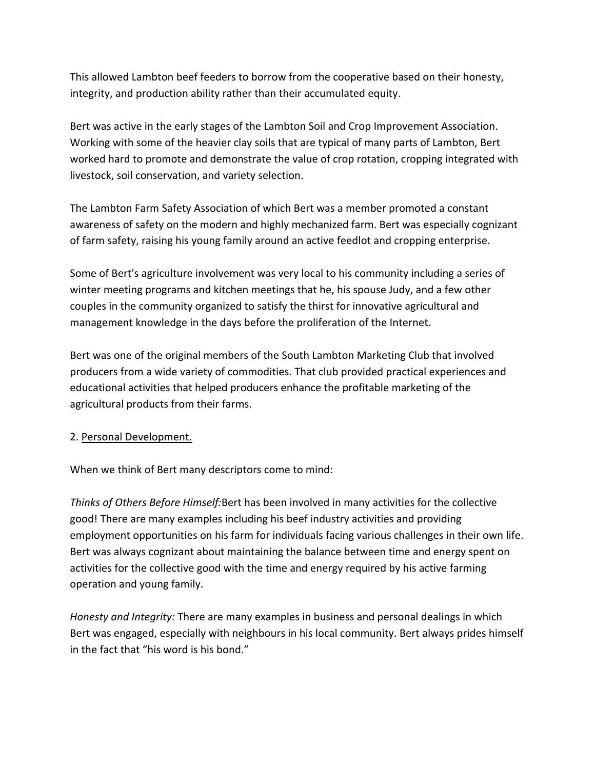This allowed Lambton beef feeders to borrow from the cooperative based on their honesty, integrity, and production ability rather than their accumulated equity.

Bert was active in the early stages of the Lambton Soil and Crop Improvement Association. Working with some of the heavier clay soils that are typical of many parts of Lambton, Bert worked hard to promote and demonstrate the value of crop rotation, cropping integrated with livestock, soil conservation, and variety selection.

The Lambton Farm Safety Association of which Bert was a member promoted a constant awareness of safety on the modern and highly mechanized farm. Bert was especially cognizant of farm safety, raising his young family around an active feedlot and cropping enterprise.

Some of Bert's agriculture involvement was very local to his community including a series of winter meeting programs and kitchen meetings that he, his spouse Judy, and a few other couples in the community organized to satisfy the thirst for innovative agricultural and management knowledge in the days before the proliferation of the Internet.

Bert was one of the original members of the South Lambton Marketing Club that involved producers from a wide variety of commodities. That club provided practical experiences and educational activities that helped producers enhance the profitable marketing of the agricultural products from their farms.

## 2. Personal Development.

When we think of Bert many descriptors come to mind:

*Thinks of Others Before Himself:*Bert has been involved in many activities for the collective good! There are many examples including his beef industry activities and providing employment opportunities on his farm for individuals facing various challenges in their own life. Bert was always cognizant about maintaining the balance between time and energy spent on activities for the collective good with the time and energy required by his active farming operation and young family.

*Honesty and Integrity:* There are many examples in business and personal dealings in which Bert was engaged, especially with neighbours in his local community. Bert always prides himself in the fact that "his word is his bond."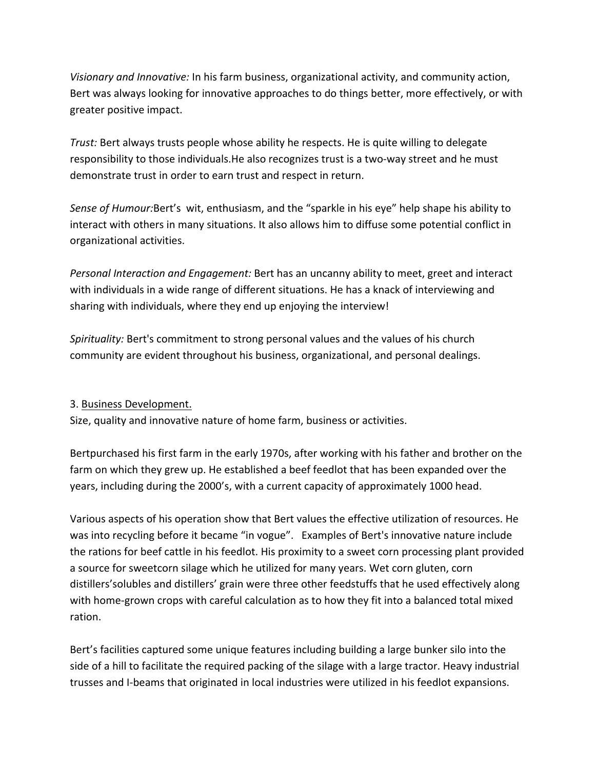*Visionary and Innovative:* In his farm business, organizational activity, and community action, Bert was always looking for innovative approaches to do things better, more effectively, or with greater positive impact.

*Trust:* Bert always trusts people whose ability he respects. He is quite willing to delegate responsibility to those individuals.He also recognizes trust is a two-way street and he must demonstrate trust in order to earn trust and respect in return.

*Sense of Humour:*Bert's wit, enthusiasm, and the "sparkle in his eye" help shape his ability to interact with others in many situations. It also allows him to diffuse some potential conflict in organizational activities.

*Personal Interaction and Engagement:* Bert has an uncanny ability to meet, greet and interact with individuals in a wide range of different situations. He has a knack of interviewing and sharing with individuals, where they end up enjoying the interview!

*Spirituality:* Bert's commitment to strong personal values and the values of his church community are evident throughout his business, organizational, and personal dealings.

## 3. Business Development.

Size, quality and innovative nature of home farm, business or activities.

Bertpurchased his first farm in the early 1970s, after working with his father and brother on the farm on which they grew up. He established a beef feedlot that has been expanded over the years, including during the 2000's, with a current capacity of approximately 1000 head.

Various aspects of his operation show that Bert values the effective utilization of resources. He was into recycling before it became "in vogue". Examples of Bert's innovative nature include the rations for beef cattle in his feedlot. His proximity to a sweet corn processing plant provided a source for sweetcorn silage which he utilized for many years. Wet corn gluten, corn distillers'solubles and distillers' grain were three other feedstuffs that he used effectively along with home-grown crops with careful calculation as to how they fit into a balanced total mixed ration.

Bert's facilities captured some unique features including building a large bunker silo into the side of a hill to facilitate the required packing of the silage with a large tractor. Heavy industrial trusses and I‐beams that originated in local industries were utilized in his feedlot expansions.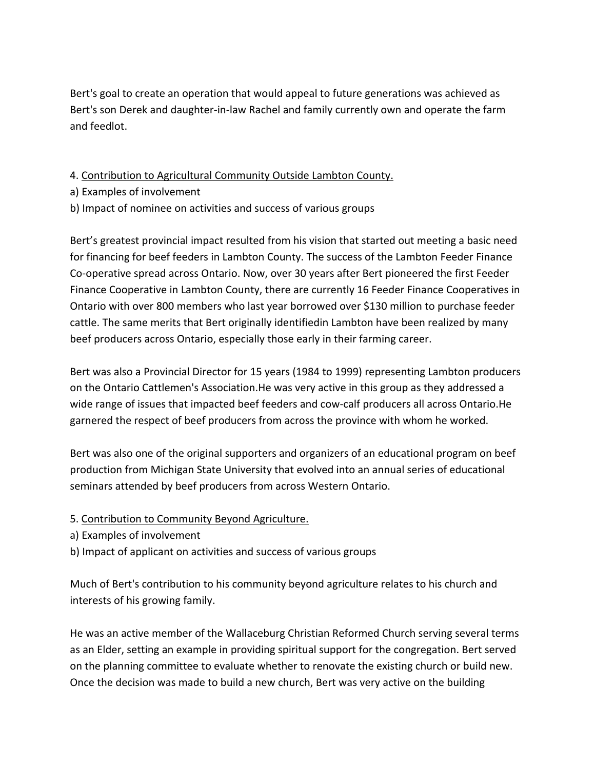Bert's goal to create an operation that would appeal to future generations was achieved as Bert's son Derek and daughter‐in‐law Rachel and family currently own and operate the farm and feedlot.

4. Contribution to Agricultural Community Outside Lambton County.

- a) Examples of involvement
- b) Impact of nominee on activities and success of various groups

Bert's greatest provincial impact resulted from his vision that started out meeting a basic need for financing for beef feeders in Lambton County. The success of the Lambton Feeder Finance Co‐operative spread across Ontario. Now, over 30 years after Bert pioneered the first Feeder Finance Cooperative in Lambton County, there are currently 16 Feeder Finance Cooperatives in Ontario with over 800 members who last year borrowed over \$130 million to purchase feeder cattle. The same merits that Bert originally identifiedin Lambton have been realized by many beef producers across Ontario, especially those early in their farming career.

Bert was also a Provincial Director for 15 years (1984 to 1999) representing Lambton producers on the Ontario Cattlemen's Association.He was very active in this group as they addressed a wide range of issues that impacted beef feeders and cow-calf producers all across Ontario. He garnered the respect of beef producers from across the province with whom he worked.

Bert was also one of the original supporters and organizers of an educational program on beef production from Michigan State University that evolved into an annual series of educational seminars attended by beef producers from across Western Ontario.

- 5. Contribution to Community Beyond Agriculture.
- a) Examples of involvement
- b) Impact of applicant on activities and success of various groups

Much of Bert's contribution to his community beyond agriculture relates to his church and interests of his growing family.

He was an active member of the Wallaceburg Christian Reformed Church serving several terms as an Elder, setting an example in providing spiritual support for the congregation. Bert served on the planning committee to evaluate whether to renovate the existing church or build new. Once the decision was made to build a new church, Bert was very active on the building